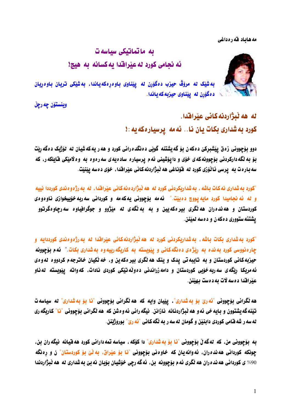مه هاباد قه رهداغی



## ىە ماتماتىكى سىاسەت ئه نحامی کورد له عیّرافدا به کسانه به هیچ!

به شَيْک له مروّڤ حيزب دهگوَرن له ييّناوي باوهرِهکهياندا، به شَيْکي تريان باوهرِيان د ه گورن له پیتناوی حیزبه که پاندا.

وينستۆن چە رچل

له هه نُبرَّاردِنه كاني عِبْراقِدا. کورد به شداری بکات یان نا.. نه مه پرسیاره که یه : ۱

دوو بۆچوونى زەق يێشبركێ دەكەن بۆ گەيشتنە گوێي دەنگدەرانى كورد و ھەر پەكەشپان لە ئۆژىک دەگەربت بۆ به نگه دارکردنی بۆچوونه که ی خوّی و دا یوّشینی ئه م پرسیاره ساده یه ی سه رهوه به وه لامیّکی فایلکه ر، که سه باره ت به ِ پرسی نَائْوَرْی کورد له فَوْناغی هه نْبِژَاردنه کانی عِیْرافْدا، خوْی دهسه پیْنیْت.

"کورد به شداری نه کات باشه ، به شداریکردنی کورد له هه نَبِژارد ه نه کانی عیّراقدا ، له به رژه و ه ندی کورددا نییه و له ئه نجاميدا کورد مايه يووچ دهييّت." ئهمه بۆچوونی يهکهمه و کوردانی سه ربه خۆپيخوازی ناوهوهی کوردستان و هه نده ران هه نگری بیر هکهیین و به به نگه ی نه میژوو و جوگرافیاوه سه رچاوهگرتوو يشتئه ستووري د ه که ن و د ه سه نمينن.

"کورد به شداری بکات باشه ، به شداریکردنی کورد له هه نَبژاردنهکانی عیّراقدا له به رژه<code>و</code>ومندی کورددایه و چاره نووسی کورد به نده به رنژهی ده نگه کانی و پیویسته به کاریگه رییه وه به شداری بکات." نه م بوّجوونه حيزبه کاني کوردستان و به تايبه تي يدک و ينک هه نگري بير هکه ين و، خه نکيان خاترجهم کردووه له وهي ئه مریکا رنگه ی سه ربه خوّبی کوردستان و دامه زراندنی دهولّه تیّکی کوردی نادات، که واته ییّویسته نه ناو عيّرافقدا ده سه لات به دهست بهيّنز.

هه نگرانی بوّچوونی "نُه ریّ بوّ به شداری"، ییّیان وایه که هه نگرانی بوّچوونی "نا بوّ به شداری" له سیاسه ت تیّنه که یشتوون و بایه *خی* ئه و هه نّبژاردنانه نازانن. نیگه رانی ئه *و* ه شن که هه نگرانی بوّجوونی "نا" کاریگه ری له سه ر شه قـامي كوردي دابنيّن و گومان له سه ر به نگه كـاني "ئه ريّ" بوروژيّنن.

به بۆچوونی من، که لهگه لٌ بۆچوونی "نا بۆ به شداری" دا کۆکه ، سیاسه تمه دارانی کورد هه قیانه نیگه ران بن، چونکه کوردانی هه نده ران، نُه وانه یان که خاوه نی بِوْچوونی "نا بِوْ عِيْراق، بِه نْیْ بِوْ کوردستان" ن و رهنگه 90% ي كورداني هه نده ران هه نگري ئه م بۆچوونه بن، ئه گه رچي خوّشيان بوّبان نه بيّ به شداري له هه نبژاردندا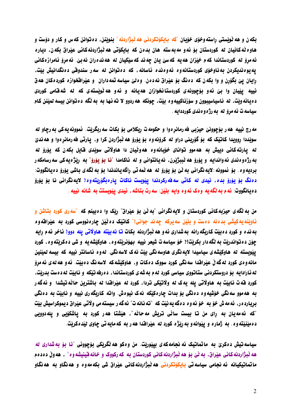بکه ن و هه نویستی راسته وخوّی خوّیان "که بایکوتکردنی هه نبژاردنه" بنوینن، د ه توانن که س و کار و دوّست و هاوه ٽه کانيان له کوردستان بو ئه و مه به سته هان بدهن که بايکوٽي هه ٽبژاردنه کاني عيراق بکه ن، دياره ئه مړوّ له کوردستاندا که م خیّزان هه یه که سیّ یان چه ند که سیّکیان له هه نده ران نه بیّ. ئه مړوّ ئامرازهکانی يه يوه نديكردن به ناوخوّي كوردستانه وه ئه و ه ند ه ئاسانه ، كه د ه توانن له سه ر سندوقي د ه نگدانيش بيّت، رايان ييّ بگوّرن و وا بکهن که دمنگ بوّ عيّراق نهدهن. ومليّ سياسه تمه داران و عيّرافخوازه کوردمکان هه ق نییه ییّیان وا بیّ ئهو بۆچوونهی کوردستانخوازان ههیانه و ئهو هه نْویْستهی که له شهقامی کوردی د ديانه ويت، له ناسياسيبوون و سوّرْناكييه و د بيّت، چونكه هه ردوو لا ته نها به به نگه د دتوانن بيسه لميّنن كام سياسه ت ئه مروّ له به رژه و دندی کورددايه .

مه رج نييه هه ر بۆچوونێ حيزبي فه رمانر ه وا و حکومه ت ريکلامي بۆ بکات سه ربگريّت. نموونه يه کي به رڃاو له سويّددا روويدا كاتيّک كه بوّ گوّريني دراو له كروّنه<code>و</code>ه بوّ يوّروّ هه نْبژّاردن كرا و، يارتي فه رمانرٍ هوا و هه نديّ له یارته کانی دییش به هه موو توانای خوّیانه وه هه وٽیان دا هاولاتی سوێدی قایل بکه ن که یوّرو٘ له به رژه و ه ندي ئه واندايه و يۆرۆ هه ٽببژێرن، نه يانتواني و له ئاكامدا "نا بۆ يۆرۆ" به رێژه يه كي سه رسامكه ر برديه وه . بِوْ نموونه :لايه نگراني به ٽيّ بوّ يوّرو له هه ٽمه تي راگه ياندندا بوّ به ٽگه ي باشي يوّرو ده يانگووت دەنگ بۆ يۆرۆ بدە، ئيدى لە كاتى سەڧەركردندا يێويست ناكات يارەبگۆربتەوە! لايەنگرانى نا بۆ يۆرۆ ده يانگووت: ئه م به نگه يه وهک ئه وه وايه بِلَيْن: سه رت بِتاشه ، ئيدي پيٽويستت به شانه نييه .

من به نگه ی حیزبه کانی کوردستان و لایه نگرانی "به نّیّ بوّ عیّراق" ربّک وا دهبینم که "سه ری کورد بتاشن و ئاويّنه په کيشي بدءنه دهست و بِلّيّن سه پرکه چه ند جواني\" کانتيک ده ٽيّن چاره نووسي کورد به عيّراقه وه به نده و کورد ده بيّت کاريگه رانه به شداری ئه و هه نّبژاردنه بکات تا نه بيّته هاولاتی يله دوو! ناخر ئه م رايه چوّن ده تواندريّت به نگه دار بکريّت؟! خوّ سياسه ت شيعر نييه بهوّنريّته وه ، هاوکيّشه يه و شي ده کريّته وه ، کورد ييْويسته له هاوكيْشُه ي سياسيدا لايه نگري هاوسه نگي بيّت نه ک لاسه نگي. له وه ناسانتر نييه که بيسه لميّنين مانه و دی کورد له گه لْ عیْرافْدا سه نگی کورد سووک دمکات و. هاوکیْشه که لاسه نگ دمبیّت. ئه و هه له ی ئه مروّ له نارادایه بو دروستکردنی ستاتووی سیاسی کورد له م به شه ی کوردستاندا، ده رفه تیکه و نابیت له دهست بدریت، كورد قه ت نابيّت به هاولاتي يله يه ک له ولاتيّکي تردا، کورد له عيّراقدا له باشترين حالّه تيشدا و نهگه ر به هه موو سه نگی خوّشیه وه ده نگی بوّ بدات چارهکیکه نهک نیوهش. واته کاریگه ری نییه و نابیّت به ده نگی بريارده ر، ئه مه ش خوّ به خوّ ئه وه دهگه په نيّت كه "ته نانه ت" ئه گه ر سيسته مي ولاتي عيّراق ديموكراسيش بيّت "که نهمهیان به رای من تا بیست سانّی تریش مه حانّه"، هیّشتا ههر کورد به یاشکوّیی و یلهدوویی د مينيّته وه . به ژماره و پيّوانه و به ريّژه كورد له عيّرافدا هه ر به كه مايه تي چاوي ليّده كريّت.

سياسه تيش دهکريّ به ماتماتيک ئه نجامهکهي بيێوريّت. من وهکو هه نگريکي بوّچووني "نا بوّ به شداري له هه نْبِژَاردنه كانی عيّراق، به نّیّ بوّ هه نْبِژَاردنه كانی كوردستان به كه ركووک و خانه قينيشه وه" ، هه ولّ دهدهم ماتماتیکیانه نه نجا*می س*یاسه تی بایکوتکردنی هه نبژاردنهکانی عیّراق شی بکه *مه*وه و هه نگاو به هه نگاو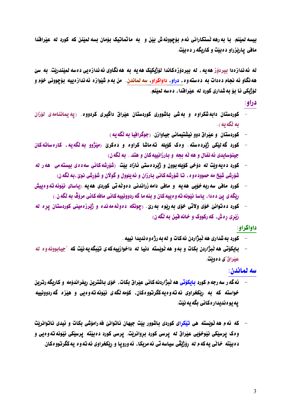بيسه لميّنم. با به رهه نستكاراني ئهم بوّچوونه ش بيّن و به ماتماتيک بوّمان بسه لميّنن كه كورد له عيّرافدا مافي پارٽِزراو دهبيٽ و کاربگه ر دهبيٽ.

له ئه ندازهدا بپردۆز هەيە ، له بپردۆزەكاندا لۆژبكێک هەيە بە هەنگاوي ئەندازەيى دەسە لمێندرێت. بە سێ هه نگاو ئه نجام دهدات به دهسته *وه* ، <mark>دراو ، داواکراو ، سه لماندن</mark>. من بهم شَيْوازه ئه ندازهييه بۆچوونى خوّم و لۆژبكى نا بۆ بەشدارى كورد لە عێراقدا، دەسە لمێنم.

دراو:

- کوردستان دابهشکراوه و بهشی باشووری کوردستان عیّراق داگیری کردووه. (په یماننامهی لوّزان به نگه یه ).
	- کوردستان و عیّراق دوو نیشتیمانی جیاوازن. (جوگرافیا به لُگه یه )
- کورد گه ليکي ژبردهسته. وهک کۆيله تهماشا کراوه و دهکري (ميژوو به نگهيه، کارهساتهکان جینوْسایدی ئه نفال و هه له بحه و بارزانییه کان و هتد.. به لُگه ن)
- کورد دهیه ویّت له دوّخی کویله بوون و ژبّردهستی ئازاد بیّت. (شوّرشه کانی سه ده) بیسته می هه ر له شۆرشی شَيْخ مه حموود دو ، تا شۆرشه كانی بارزان و ئه پلوول و گولان و شۆرشی نوێ،به نگه ن)
- کورد مافی سه ربه خوّبی هه به و مافی دامه زراندنی دهولّه تی کوردی هه به .(باسای نِیّونه ته *و ه*یش رێگەي يێ دەدا، ياسا نێونەتەوەييەكان و بنەما گەردوونييەكانى ماڧەكانى مرۆڤ بە ێگەن.)
- کورد ده توانئ خوّی ولاتی خوّی به ربّوه به رئ . (چونکه دهولّه مه نده و ژبّرزه مینی کوردستان پره له زنري رهش، که رکووک و خانه قبن به نگه ن)

داواكراو:

- كورد به شداري هه نُبرًاردن نه كات و له به رژه و ه نديدا نييه .  $\overline{a}$
- بابكۆتى ھە ئىژاردن بكات و بەو ھە ئوتستە دنيا لە داخوازىيەكەي تېتگە بەنپت كە "چيابوونەو د بە عيّراق"ي د ه ويّت.

سه لماندن:

- ئه گه ر سه رجه م کورد <u>بایکوتی</u> هه نُبژاردنه کانی عیّراق بکات، خوّی باشترین ریفراندوّمه و کاریگه رترین خواسته که به ریکخراوی نه ته و دیهکگرتووهکان، کوّمه نگه ی نیّونه ته و هیی و هیّزه گه ردوونییه به بو ه ندیدار ه کانی یگه به نتت.
- که نُهم هه نُويسته هي تيکراي کوردي باشوور بيّت جيهان ناتوانيّ فه راموّشي بکات و نيدي ناتوانريّت وهک پرسێکی نێوخو٘یی عیّراق له پرسی کورد بروانریّت. پرسی کورد دهبیّته پرسی٘کی نیّونه ته وهیی و د دبيّته خاٽي په که م له روّژيقي سياسه تي ئه مريکا، ئه ورويا و ريکخراوي نه ته و ه په کگرتوو هکان.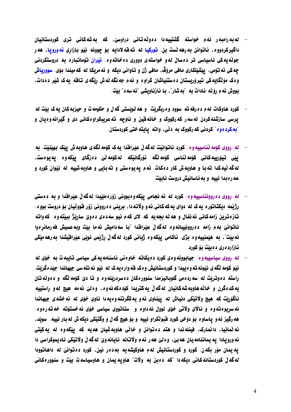- له به رامبه ره ه و خواسته گشتییه دا ده ونّه تانی دراوسیّ، که به شه کانی تری کوردستانیان داگيركردووه، ناتوانن به رهه نّست بن. <mark>توركيا له ته قه لا</mark>دايه بوّ چوونه نيّو بـازاري ئ<mark>ه ورويـا</mark>، هه ر جونهیه کی ناسیاسی تر دهسان له و خواسته ی دووری ده خاته وه. نُ<u>تر</u>ان توماتباره به دروستکردنی چه کي ئه توّمي، پيشيّنکاري مافي مروّڤ، مافي ژن و تاواني ديکه و ئه مريکا له که ميندا بوّي. سوورياش وهک مۆنگايهکي تيرۆريستان دەستنياشان کراوه و ئهم جه نگه ٽه ش رنگه ي تاقه يه ک شير دهدات. بووش ئهم روِّلُه نادات به "به شار"، با نازناويشي "ئه سه د" بيّت.
- کورد هاوکات لهم ده رفه ته سوود وه رېگريت و هه ٽويستي گه ل و حکومه ت و حيزبه کان په ک بيت له پرسی سازشنهکردن له سه ر که رکووک و خانه فین و ناوچه ته عریبکراو هکانی دی و گیرانه و دیان و "به کرد *دو*ه" کردنی که رکووک به دڵی، واته یایته ختی کوردستان.
- له رووي كۆمه ٽناسييه و د: كورد ناتوانيٽ له گه ڵ عيرافندا يه ک كۆمه ٽگه ي هاوبه ش ييک بهينيٽ. به ييْي تيۆرىيەكانى كۆمەڭناسى كۆمەڭگە ئۆرگانىكە ئەكۆمەڭى دەزگاي يىكەوە يەيوەست. له گه نیه کدا ته با و هاوبه ش کار دمکات. نه م یه یومستی و ته بایی و هاوبه شییه له نیّوان کورد و عه ره بدا نییه و به ئاسانیش دروست نابیت.
- له رووی ده روونناسییه وه: کورد له ئه نجامی ییکه وه بوونی زوّره ملیّیدا له گه لّ عیّرافتدا و به دهستی رژيمه ديکتاتوره په ک له دواي په که کاني نه و ولاته دا، بريني د درووني زوّر قووٽيان بوّ دروست بوو ه. تازهترین زامهکانی ئه نفال و هه نّه بجه یه که لای کهم نیو سه دهی دهوی ساریّژ ببیّته وه. که واته ناتوانيّ به م زامه ده روونييانه وه له گه لْ عيرافندا "با سه داميش نه ما بيّت وبه عسيش فه رمانر ه وا نه بيّت"، به هيّمنييهوه بژی. ئاكامی پيّكهوه ژيانی كورد لهگه لْ رِژيْمی نويّی عيّرافيشدا به رهه ميّكی نازارد ه ري د ه بيت بو کورد.
- له رووی سیاسییه وه: جیابوونه وهی کورد دهیکاته خاوهنی ناسنامه یه کی سیاسی تایبه ت به خوّی له نێو کۆمه ٽگه ي نێونه ته و ه پيدا و کوردستانيش و ه ک قه واره په ک له نێو ئه تله سي جيهاندا جِيّد هگريّت. راسته دهوتريت نه سه ردهمي گلوبانيزمدا سنوورهکان دهسردرينهوه و تا ديّ کومه نگه و دهونهتان يه كدهگرن و خانه هاويه شه كانيان نه گه لْ يه كتريدا كۆدهكه نه وه. وه نيّ نه مه هيچ نه و راستييه ناگۆرپت که هیچ ولاتیکی دنیاش له ییناوی ئه و یهکگرتنه و دیه دا ناوی خوّی له نه خشه ی جیهاندا نه سریوه ته وه و نالای ولاتی خوّی لوول نه داوه و گستانتووی سیاسی خوّی نه خستوّته خه ته ره وه. هه رگيز ئه و پاساوه بو دوخي کورد قبوٽکراو نيپه و بو هيچ گه ل و وگتيکي ديکه ش نه بار نيپه . سويد، ئه نُمانيا، دانمارک، فينله ندا و هتد ده توانن و خاٽي هاوبه شيان هه په که پيکهوه له په کيتي ئه ورويادا يه يماننامه يان هه بيّ، و د بيّ هه ر ئه م ولاتانه نايانه ويّ له گه لْ ولاتيْكي ناديموكراسي دا يه يمان مۆر بکهن. کورد و کوردستانيش لهم هاوکيشهيه بهدهر نين، کورد دهتوانيّ له داهاتوودا له گه لْ کوردستانه کانی دیکه دا "که ده بن به ولات" هاویه یمان و هاوسیاسه ت بیّت و سنوورهکانی